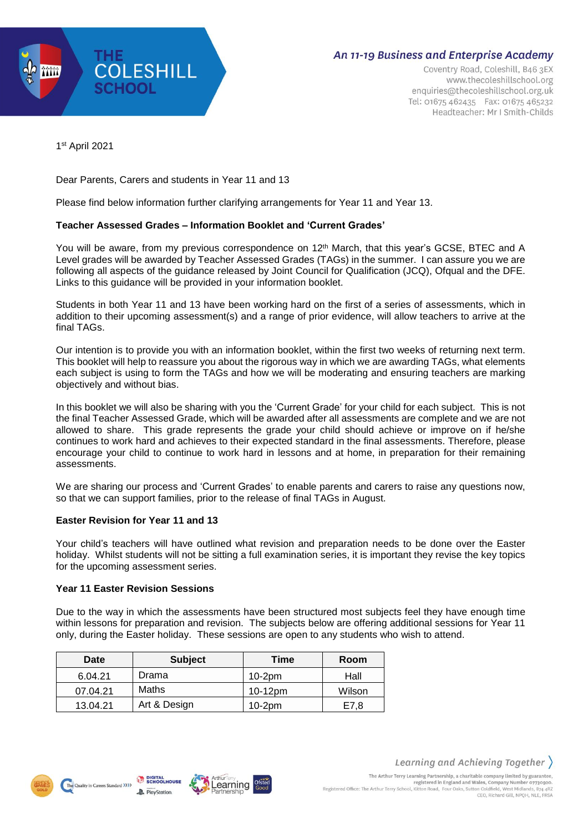

# **An 11-19 Business and Enterprise Academy**

Coventry Road, Coleshill, B46 3EX www.thecoleshillschool.org enquiries@thecoleshillschool.org.uk Tel: 01675 462435 Fax: 01675 465232 Headteacher: Mr I Smith-Childs

1 st April 2021

Dear Parents, Carers and students in Year 11 and 13

Please find below information further clarifying arrangements for Year 11 and Year 13.

## **Teacher Assessed Grades – Information Booklet and 'Current Grades'**

You will be aware, from my previous correspondence on 12<sup>th</sup> March, that this year's GCSE, BTEC and A Level grades will be awarded by Teacher Assessed Grades (TAGs) in the summer. I can assure you we are following all aspects of the guidance released by Joint Council for Qualification (JCQ), Ofqual and the DFE. Links to this guidance will be provided in your information booklet.

Students in both Year 11 and 13 have been working hard on the first of a series of assessments, which in addition to their upcoming assessment(s) and a range of prior evidence, will allow teachers to arrive at the final TAGs.

Our intention is to provide you with an information booklet, within the first two weeks of returning next term. This booklet will help to reassure you about the rigorous way in which we are awarding TAGs, what elements each subject is using to form the TAGs and how we will be moderating and ensuring teachers are marking objectively and without bias.

In this booklet we will also be sharing with you the 'Current Grade' for your child for each subject. This is not the final Teacher Assessed Grade, which will be awarded after all assessments are complete and we are not allowed to share. This grade represents the grade your child should achieve or improve on if he/she continues to work hard and achieves to their expected standard in the final assessments. Therefore, please encourage your child to continue to work hard in lessons and at home, in preparation for their remaining assessments.

We are sharing our process and 'Current Grades' to enable parents and carers to raise any questions now, so that we can support families, prior to the release of final TAGs in August.

### **Easter Revision for Year 11 and 13**

Your child's teachers will have outlined what revision and preparation needs to be done over the Easter holiday. Whilst students will not be sitting a full examination series, it is important they revise the key topics for the upcoming assessment series.

### **Year 11 Easter Revision Sessions**

Due to the way in which the assessments have been structured most subjects feel they have enough time within lessons for preparation and revision. The subjects below are offering additional sessions for Year 11 only, during the Easter holiday. These sessions are open to any students who wish to attend.

| Date     | <b>Subject</b> | Time     | Room   |
|----------|----------------|----------|--------|
| 6.04.21  | Drama          | $10-2pm$ | Hall   |
| 07.04.21 | Maths          | 10-12pm  | Wilson |
| 13.04.21 | Art & Design   | $10-2pm$ | E7.8   |